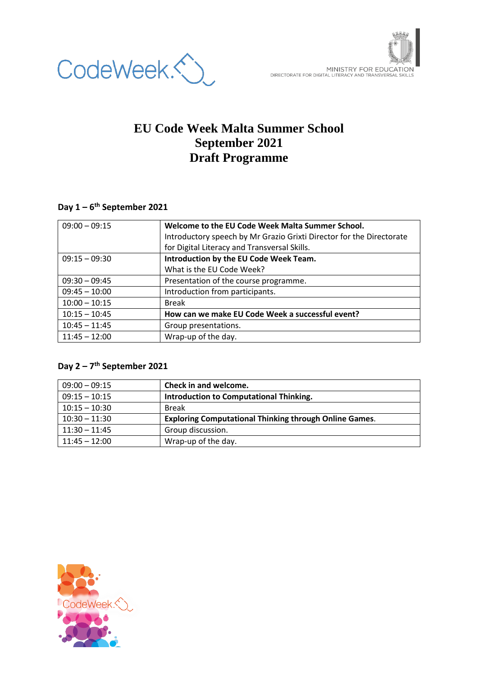

# **EU Code Week Malta Summer School September 2021 Draft Programme**

### **Day 1 – 6 th September 2021**

| $09:00 - 09:15$ | Welcome to the EU Code Week Malta Summer School.                     |
|-----------------|----------------------------------------------------------------------|
|                 | Introductory speech by Mr Grazio Grixti Director for the Directorate |
|                 | for Digital Literacy and Transversal Skills.                         |
| $09:15 - 09:30$ | Introduction by the EU Code Week Team.                               |
|                 | What is the EU Code Week?                                            |
| $09:30 - 09:45$ | Presentation of the course programme.                                |
| $09:45 - 10:00$ | Introduction from participants.                                      |
| $10:00 - 10:15$ | <b>Break</b>                                                         |
| $10:15 - 10:45$ | How can we make EU Code Week a successful event?                     |
| $10:45 - 11:45$ | Group presentations.                                                 |
| $11:45 - 12:00$ | Wrap-up of the day.                                                  |

### **Day 2 – 7 th September 2021**

| $09:00 - 09:15$ | Check in and welcome.                                         |
|-----------------|---------------------------------------------------------------|
| $09:15 - 10:15$ | Introduction to Computational Thinking.                       |
| $10:15 - 10:30$ | <b>Break</b>                                                  |
| $10:30 - 11:30$ | <b>Exploring Computational Thinking through Online Games.</b> |
| $11:30 - 11:45$ | Group discussion.                                             |
| $11:45 - 12:00$ | Wrap-up of the day.                                           |